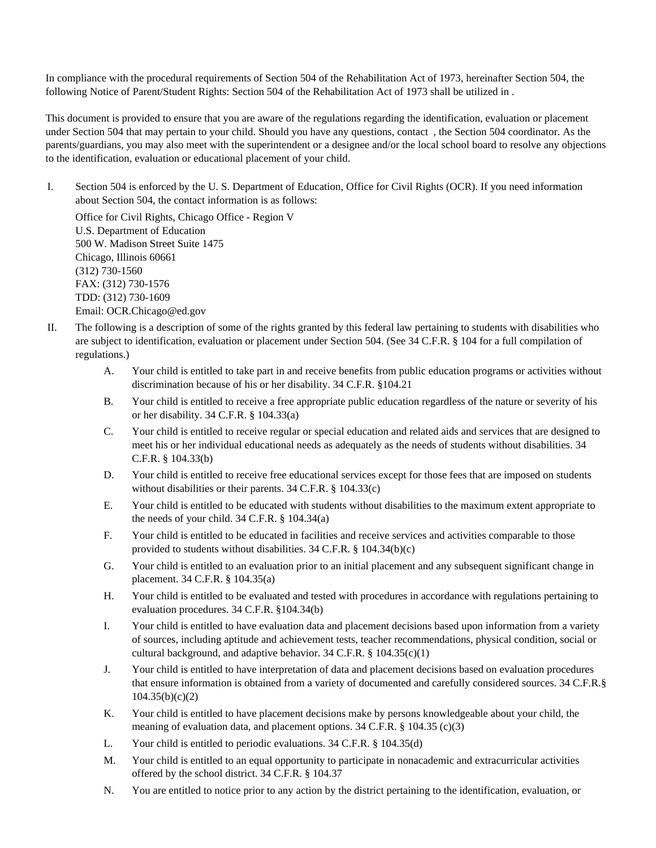In compliance with the procedural requirements of Section 504 of the Rehabilitation Act of 1973, hereinafter Section 504, the following Notice of Parent/Student Rights: Section 504 of the Rehabilitation Act of 1973 shall be utilized in .

This document is provided to ensure that you are aware of the regulations regarding the identification, evaluation or placement under Section 504 that may pertain to your child. Should you have any questions, contact , the Section 504 coordinator. As the parents/guardians, you may also meet with the superintendent or a designee and/or the local school board to resolve any objections to the identification, evaluation or educational placement of your child.

I. Section 504 is enforced by the U. S. Department of Education, Office for Civil Rights (OCR). If you need information about Section 504, the contact information is as follows:

Office for Civil Rights, Chicago Office - Region V U.S. Department of Education 500 W. Madison Street Suite 1475 Chicago, Illinois 60661 (312) 730-1560 FAX: (312) 730-1576 TDD: (312) 730-1609 Email: OCR.Chicago@ed.gov

- II. The following is a description of some of the rights granted by this federal law pertaining to students with disabilities who are subject to identification, evaluation or placement under Section 504. (See 34 C.F.R. § 104 for a full compilation of regulations.)
	- A. Your child is entitled to take part in and receive benefits from public education programs or activities without discrimination because of his or her disability. 34 C.F.R. §104.21
	- B. Your child is entitled to receive a free appropriate public education regardless of the nature or severity of his or her disability. 34 C.F.R. § 104.33(a)
	- C. Your child is entitled to receive regular or special education and related aids and services that are designed to meet his or her individual educational needs as adequately as the needs of students without disabilities. 34 C.F.R. § 104.33(b)
	- D. Your child is entitled to receive free educational services except for those fees that are imposed on students without disabilities or their parents. 34 C.F.R. § 104.33(c)
	- E. Your child is entitled to be educated with students without disabilities to the maximum extent appropriate to the needs of your child. 34 C.F.R. § 104.34(a)
	- F. Your child is entitled to be educated in facilities and receive services and activities comparable to those provided to students without disabilities. 34 C.F.R. § 104.34(b)(c)
	- G. Your child is entitled to an evaluation prior to an initial placement and any subsequent significant change in placement. 34 C.F.R. § 104.35(a)
	- H. Your child is entitled to be evaluated and tested with procedures in accordance with regulations pertaining to evaluation procedures. 34 C.F.R. §104.34(b)
	- I. Your child is entitled to have evaluation data and placement decisions based upon information from a variety of sources, including aptitude and achievement tests, teacher recommendations, physical condition, social or cultural background, and adaptive behavior. 34 C.F.R. § 104.35(c)(1)
	- J. Your child is entitled to have interpretation of data and placement decisions based on evaluation procedures that ensure information is obtained from a variety of documented and carefully considered sources. 34 C.F.R.§ 104.35(b)(c)(2)
	- K. Your child is entitled to have placement decisions make by persons knowledgeable about your child, the meaning of evaluation data, and placement options. 34 C.F.R. § 104.35 (c)(3)
	- L. Your child is entitled to periodic evaluations. 34 C.F.R. § 104.35(d)
	- M. Your child is entitled to an equal opportunity to participate in nonacademic and extracurricular activities offered by the school district. 34 C.F.R. § 104.37
	- N. You are entitled to notice prior to any action by the district pertaining to the identification, evaluation, or